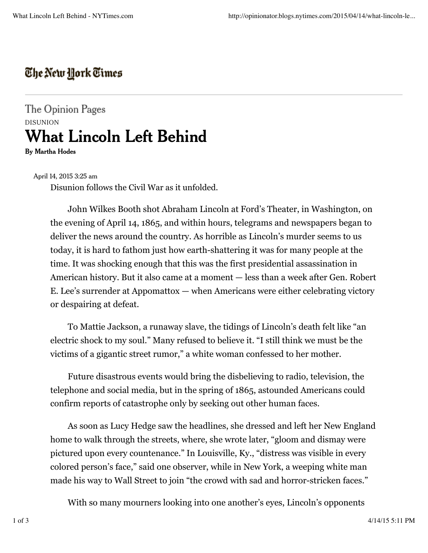## The New York Times

The Opinion Pages DISUNION **What Lincoln Left Behind**

**By Martha Hodes**

April 14, 2015 3:25 am

Disunion follows the Civil War as it unfolded.

John Wilkes Booth shot Abraham Lincoln at Ford's Theater, in Washington, on the evening of April 14, 1865, and within hours, telegrams and newspapers began to deliver the news around the country. As horrible as Lincoln's murder seems to us today, it is hard to fathom just how earth-shattering it was for many people at the time. It was shocking enough that this was the first presidential assassination in American history. But it also came at a moment — less than a week after Gen. Robert E. Lee's surrender at Appomattox — when Americans were either celebrating victory or despairing at defeat.

To Mattie Jackson, a runaway slave, the tidings of Lincoln's death felt like "an electric shock to my soul." Many refused to believe it. "I still think we must be the victims of a gigantic street rumor," a white woman confessed to her mother.

Future disastrous events would bring the disbelieving to radio, television, the telephone and social media, but in the spring of 1865, astounded Americans could confirm reports of catastrophe only by seeking out other human faces.

As soon as Lucy Hedge saw the headlines, she dressed and left her New England home to walk through the streets, where, she wrote later, "gloom and dismay were pictured upon every countenance." In Louisville, Ky., "distress was visible in every colored person's face," said one observer, while in New York, a weeping white man made his way to Wall Street to join "the crowd with sad and horror-stricken faces."

With so many mourners looking into one another's eyes, Lincoln's opponents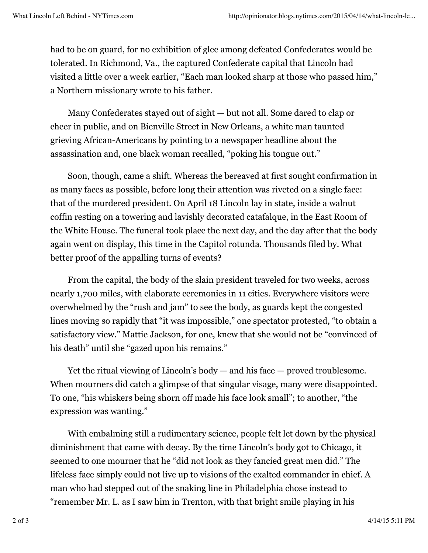had to be on guard, for no exhibition of glee among defeated Confederates would be tolerated. In Richmond, Va., the captured Confederate capital that Lincoln had visited a little over a week earlier, "Each man looked sharp at those who passed him," a Northern missionary wrote to his father.

Many Confederates stayed out of sight — but not all. Some dared to clap or cheer in public, and on Bienville Street in New Orleans, a white man taunted grieving African-Americans by pointing to a newspaper headline about the assassination and, one black woman recalled, "poking his tongue out."

Soon, though, came a shift. Whereas the bereaved at first sought confirmation in as many faces as possible, before long their attention was riveted on a single face: that of the murdered president. On April 18 Lincoln lay in state, inside a walnut coffin resting on a towering and lavishly decorated catafalque, in the East Room of the White House. The funeral took place the next day, and the day after that the body again went on display, this time in the Capitol rotunda. Thousands filed by. What better proof of the appalling turns of events?

From the capital, the body of the slain president traveled for two weeks, across nearly 1,700 miles, with elaborate ceremonies in 11 cities. Everywhere visitors were overwhelmed by the "rush and jam" to see the body, as guards kept the congested lines moving so rapidly that "it was impossible," one spectator protested, "to obtain a satisfactory view." Mattie Jackson, for one, knew that she would not be "convinced of his death" until she "gazed upon his remains."

Yet the ritual viewing of Lincoln's body — and his face — proved troublesome. When mourners did catch a glimpse of that singular visage, many were disappointed. To one, "his whiskers being shorn off made his face look small"; to another, "the expression was wanting."

With embalming still a rudimentary science, people felt let down by the physical diminishment that came with decay. By the time Lincoln's body got to Chicago, it seemed to one mourner that he "did not look as they fancied great men did." The lifeless face simply could not live up to visions of the exalted commander in chief. A man who had stepped out of the snaking line in Philadelphia chose instead to "remember Mr. L. as I saw him in Trenton, with that bright smile playing in his